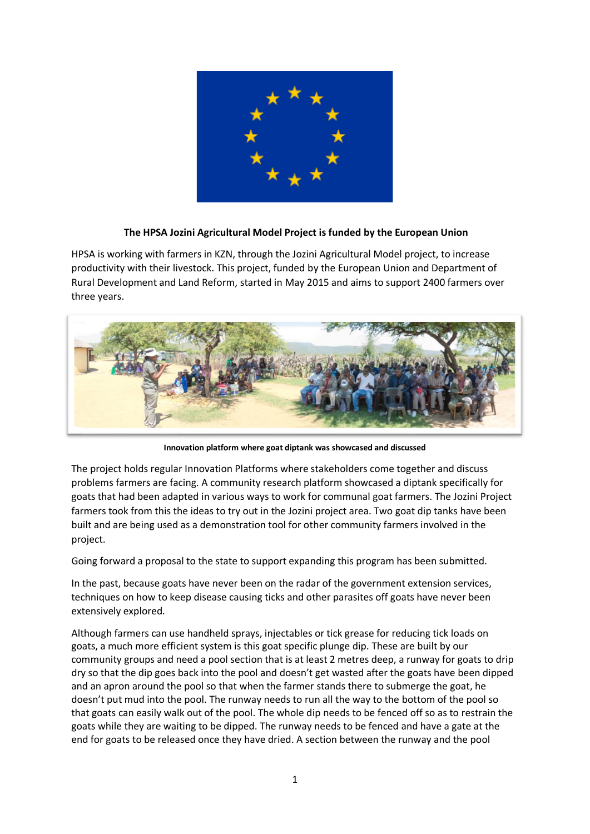

## **The HPSA Jozini Agricultural Model Project is funded by the European Union**

HPSA is working with farmers in KZN, through the Jozini Agricultural Model project, to increase productivity with their livestock. This project, funded by the European Union and Department of Rural Development and Land Reform, started in May 2015 and aims to support 2400 farmers over three years.



**Innovation platform where goat diptank was showcased and discussed**

The project holds regular Innovation Platforms where stakeholders come together and discuss problems farmers are facing. A community research platform showcased a diptank specifically for goats that had been adapted in various ways to work for communal goat farmers. The Jozini Project farmers took from this the ideas to try out in the Jozini project area. Two goat dip tanks have been built and are being used as a demonstration tool for other community farmers involved in the project.

Going forward a proposal to the state to support expanding this program has been submitted.

In the past, because goats have never been on the radar of the government extension services, techniques on how to keep disease causing ticks and other parasites off goats have never been extensively explored.

Although farmers can use handheld sprays, injectables or tick grease for reducing tick loads on goats, a much more efficient system is this goat specific plunge dip. These are built by our community groups and need a pool section that is at least 2 metres deep, a runway for goats to drip dry so that the dip goes back into the pool and doesn't get wasted after the goats have been dipped and an apron around the pool so that when the farmer stands there to submerge the goat, he doesn't put mud into the pool. The runway needs to run all the way to the bottom of the pool so that goats can easily walk out of the pool. The whole dip needs to be fenced off so as to restrain the goats while they are waiting to be dipped. The runway needs to be fenced and have a gate at the end for goats to be released once they have dried. A section between the runway and the pool